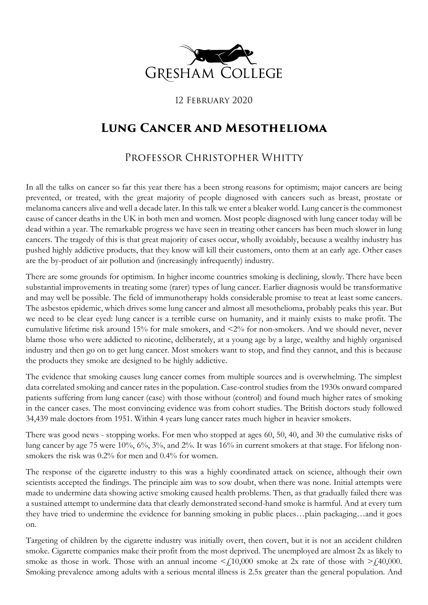

12 February 2020

## **Lung Cancer and Mesothelioma**

## Professor Christopher Whitty

In all the talks on cancer so far this year there has a been strong reasons for optimism; major cancers are being prevented, or treated, with the great majority of people diagnosed with cancers such as breast, prostate or melanoma cancers alive and well a decade later. In this talk we enter a bleaker world. Lung cancer is the commonest cause of cancer deaths in the UK in both men and women. Most people diagnosed with lung cancer today will be dead within a year. The remarkable progress we have seen in treating other cancers has been much slower in lung cancers. The tragedy of this is that great majority of cases occur, wholly avoidably, because a wealthy industry has pushed highly addictive products, that they know will kill their customers, onto them at an early age. Other cases are the by-product of air pollution and (increasingly infrequently) industry.

There are some grounds for optimism. In higher income countries smoking is declining, slowly. There have been substantial improvements in treating some (rarer) types of lung cancer. Earlier diagnosis would be transformative and may well be possible. The field of immunotherapy holds considerable promise to treat at least some cancers. The asbestos epidemic, which drives some lung cancer and almost all mesothelioma, probably peaks this year. But we need to be clear eyed: lung cancer is a terrible curse on humanity, and it mainly exists to make profit. The cumulative lifetime risk around 15% for male smokers, and <2% for non-smokers. And we should never, never blame those who were addicted to nicotine, deliberately, at a young age by a large, wealthy and highly organised industry and then go on to get lung cancer. Most smokers want to stop, and find they cannot, and this is because the products they smoke are designed to be highly addictive.

The evidence that smoking causes lung cancer comes from multiple sources and is overwhelming. The simplest data correlated smoking and cancer rates in the population. Case-control studies from the 1930s onward compared patients suffering from lung cancer (case) with those without (control) and found much higher rates of smoking in the cancer cases. The most convincing evidence was from cohort studies. The British doctors study followed 34,439 male doctors from 1951. Within 4 years lung cancer rates much higher in heavier smokers.

There was good news - stopping works. For men who stopped at ages 60, 50, 40, and 30 the cumulative risks of lung cancer by age 75 were 10%, 6%, 3%, and 2%. It was 16% in current smokers at that stage. For lifelong nonsmokers the risk was 0.2% for men and 0.4% for women.

The response of the cigarette industry to this was a highly coordinated attack on science, although their own scientists accepted the findings. The principle aim was to sow doubt, when there was none. Initial attempts were made to undermine data showing active smoking caused health problems. Then, as that gradually failed there was a sustained attempt to undermine data that clearly demonstrated second-hand smoke is harmful. And at every turn they have tried to undermine the evidence for banning smoking in public places…plain packaging…and it goes on.

Targeting of children by the cigarette industry was initially overt, then covert, but it is not an accident children smoke. Cigarette companies make their profit from the most deprived. The unemployed are almost 2x as likely to smoke as those in work. Those with an annual income  $\leq f$  10,000 smoke at 2x rate of those with  $\geq f$  40,000. Smoking prevalence among adults with a serious mental illness is 2.5x greater than the general population. And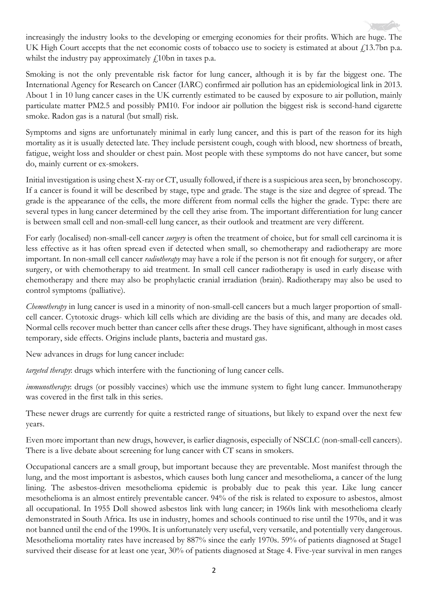increasingly the industry looks to the developing or emerging economies for their profits. Which are huge. The UK High Court accepts that the net economic costs of tobacco use to society is estimated at about £13.7bn p.a. whilst the industry pay approximately  $f_1$ 10bn in taxes p.a.

Smoking is not the only preventable risk factor for lung cancer, although it is by far the biggest one. The International Agency for Research on Cancer (IARC) confirmed air pollution has an epidemiological link in 2013. About 1 in 10 lung cancer cases in the UK currently estimated to be caused by exposure to air pollution, mainly particulate matter PM2.5 and possibly PM10. For indoor air pollution the biggest risk is second-hand cigarette smoke. Radon gas is a natural (but small) risk.

Symptoms and signs are unfortunately minimal in early lung cancer, and this is part of the reason for its high mortality as it is usually detected late. They include persistent cough, cough with blood, new shortness of breath, fatigue, weight loss and shoulder or chest pain. Most people with these symptoms do not have cancer, but some do, mainly current or ex-smokers.

Initial investigation is using chest X-ray or CT, usually followed, if there is a suspicious area seen, by bronchoscopy. If a cancer is found it will be described by stage, type and grade. The stage is the size and degree of spread. The grade is the appearance of the cells, the more different from normal cells the higher the grade. Type: there are several types in lung cancer determined by the cell they arise from. The important differentiation for lung cancer is between small cell and non-small-cell lung cancer, as their outlook and treatment are very different.

For early (localised) non-small-cell cancer *surgery* is often the treatment of choice, but for small cell carcinoma it is less effective as it has often spread even if detected when small, so chemotherapy and radiotherapy are more important. In non-small cell cancer *radiotherapy* may have a role if the person is not fit enough for surgery, or after surgery, or with chemotherapy to aid treatment. In small cell cancer radiotherapy is used in early disease with chemotherapy and there may also be prophylactic cranial irradiation (brain). Radiotherapy may also be used to control symptoms (palliative).

*Chemotherapy* in lung cancer is used in a minority of non-small-cell cancers but a much larger proportion of smallcell cancer. Cytotoxic drugs- which kill cells which are dividing are the basis of this, and many are decades old. Normal cells recover much better than cancer cells after these drugs. They have significant, although in most cases temporary, side effects. Origins include plants, bacteria and mustard gas.

New advances in drugs for lung cancer include:

*targeted therapy*: drugs which interfere with the functioning of lung cancer cells.

*immunotherapy*: drugs (or possibly vaccines) which use the immune system to fight lung cancer. Immunotherapy was covered in the first talk in this series.

These newer drugs are currently for quite a restricted range of situations, but likely to expand over the next few years.

Even more important than new drugs, however, is earlier diagnosis, especially of NSCLC (non-small-cell cancers). There is a live debate about screening for lung cancer with CT scans in smokers.

Occupational cancers are a small group, but important because they are preventable. Most manifest through the lung, and the most important is asbestos, which causes both lung cancer and mesothelioma, a cancer of the lung lining. The asbestos-driven mesothelioma epidemic is probably due to peak this year. Like lung cancer mesothelioma is an almost entirely preventable cancer. 94% of the risk is related to exposure to asbestos, almost all occupational. In 1955 Doll showed asbestos link with lung cancer; in 1960s link with mesothelioma clearly demonstrated in South Africa. Its use in industry, homes and schools continued to rise until the 1970s, and it was not banned until the end of the 1990s. It is unfortunately very useful, very versatile, and potentially very dangerous. Mesothelioma mortality rates have increased by 887% since the early 1970s. 59% of patients diagnosed at Stage1 survived their disease for at least one year, 30% of patients diagnosed at Stage 4. Five-year survival in men ranges